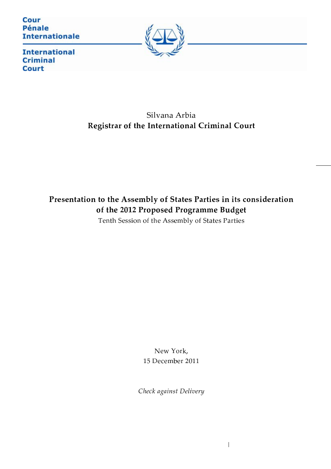Cour **Pénale Internationale** 



**International Criminal Court** 

# Silvana Arbia Registrar of the International Criminal Court

# Presentation to the Assembly of States Parties in its consideration of the 2012 Proposed Programme Budget

Tenth Session of the Assembly of States Parties

New York, 15 December 2011

Check against Delivery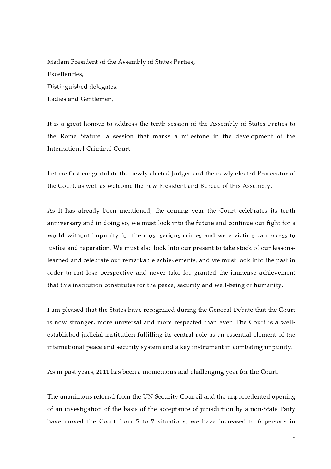Madam President of the Assembly of States Parties, Excellencies, Distinguished delegates, Ladies and Gentlemen,

It is a great honour to address the tenth session of the Assembly of States Parties to the Rome Statute, a session that marks a milestone in the development of the International Criminal Court.

Let me first congratulate the newly elected Judges and the newly elected Prosecutor of the Court, as well as welcome the new President and Bureau of this Assembly.

As it has already been mentioned, the coming year the Court celebrates its tenth anniversary and in doing so, we must look into the future and continue our fight for a world without impunity for the most serious crimes and were victims can access to justice and reparation. We must also look into our present to take stock of our lessonslearned and celebrate our remarkable achievements; and we must look into the past in order to not lose perspective and never take for granted the immense achievement that this institution constitutes for the peace, security and well-being of humanity.

I am pleased that the States have recognized during the General Debate that the Court is now stronger, more universal and more respected than ever. The Court is a wellestablished judicial institution fulfilling its central role as an essential element of the international peace and security system and a key instrument in combating impunity.

As in past years, 2011 has been a momentous and challenging year for the Court.

The unanimous referral from the UN Security Council and the unprecedented opening of an investigation of the basis of the acceptance of jurisdiction by a non-State Party have moved the Court from 5 to 7 situations, we have increased to 6 persons in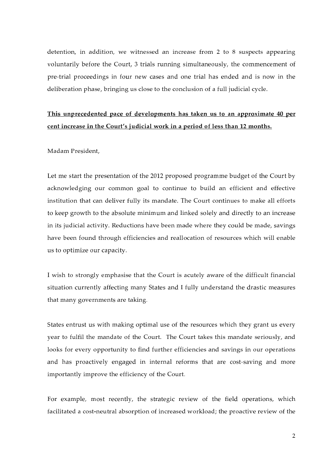detention, in addition, we witnessed an increase from 2 to 8 suspects appearing voluntarily before the Court, 3 trials running simultaneously, the commencement of pre-trial proceedings in four new cases and one trial has ended and is now in the deliberation phase, bringing us close to the conclusion of a full judicial cycle.

### This unprecedented pace of developments has taken us to an approximate 40 per cent increase in the Court's judicial work in a period of less than 12 months.

Madam President.

Let me start the presentation of the 2012 proposed programme budget of the Court by acknowledging our common goal to continue to build an efficient and effective institution that can deliver fully its mandate. The Court continues to make all efforts to keep growth to the absolute minimum and linked solely and directly to an increase in its judicial activity. Reductions have been made where they could be made, savings have been found through efficiencies and reallocation of resources which will enable us to optimize our capacity.

I wish to strongly emphasise that the Court is acutely aware of the difficult financial situation currently affecting many States and I fully understand the drastic measures that many governments are taking.

States entrust us with making optimal use of the resources which they grant us every year to fulfil the mandate of the Court. The Court takes this mandate seriously, and looks for every opportunity to find further efficiencies and savings in our operations and has proactively engaged in internal reforms that are cost-saving and more importantly improve the efficiency of the Court.

For example, most recently, the strategic review of the field operations, which facilitated a cost-neutral absorption of increased workload; the proactive review of the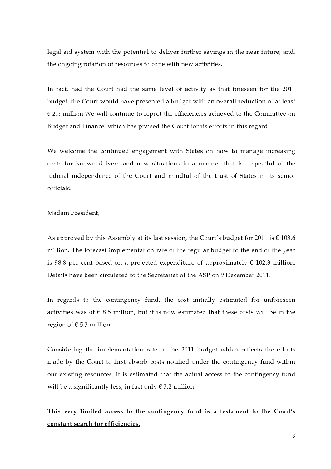legal aid system with the potential to deliver further savings in the near future; and, the ongoing rotation of resources to cope with new activities.

In fact, had the Court had the same level of activity as that foreseen for the 2011 budget, the Court would have presented a budget with an overall reduction of at least  $\epsilon$  2.5 million. We will continue to report the efficiencies achieved to the Committee on Budget and Finance, which has praised the Court for its efforts in this regard.

We welcome the continued engagement with States on how to manage increasing costs for known drivers and new situations in a manner that is respectful of the judicial independence of the Court and mindful of the trust of States in its senior officials

Madam President.

As approved by this Assembly at its last session, the Court's budget for 2011 is  $\epsilon$  103.6 million. The forecast implementation rate of the regular budget to the end of the year is 98.8 per cent based on a projected expenditure of approximately  $\epsilon$  102.3 million. Details have been circulated to the Secretariat of the ASP on 9 December 2011.

In regards to the contingency fund, the cost initially estimated for unforeseen activities was of  $\epsilon$  8.5 million, but it is now estimated that these costs will be in the region of  $\epsilon$  5.3 million.

Considering the implementation rate of the 2011 budget which reflects the efforts made by the Court to first absorb costs notified under the contingency fund within our existing resources, it is estimated that the actual access to the contingency fund will be a significantly less, in fact only  $\epsilon$  3.2 million.

This very limited access to the contingency fund is a testament to the Court's constant search for efficiencies.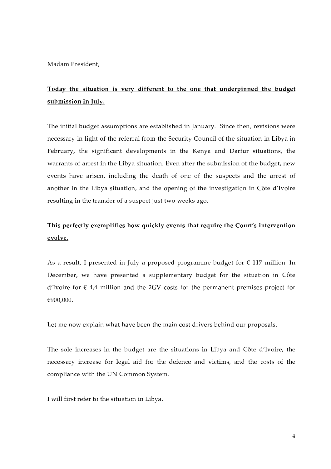Madam President.

# Today the situation is very different to the one that underpinned the budget submission in July.

The initial budget assumptions are established in January. Since then, revisions were necessary in light of the referral from the Security Council of the situation in Libya in February, the significant developments in the Kenya and Darfur situations, the warrants of arrest in the Libya situation. Even after the submission of the budget, new events have arisen, including the death of one of the suspects and the arrest of another in the Libya situation, and the opening of the investigation in Côte d'Ivoire resulting in the transfer of a suspect just two weeks ago.

#### This perfectly exemplifies how quickly events that require the Court's intervention evolve.

As a result, I presented in July a proposed programme budget for  $\epsilon$  117 million. In December, we have presented a supplementary budget for the situation in Côte d'Ivoire for  $\epsilon$  4.4 million and the 2GV costs for the permanent premises project for €900,000.

Let me now explain what have been the main cost drivers behind our proposals.

The sole increases in the budget are the situations in Libya and Côte d'Ivoire, the necessary increase for legal aid for the defence and victims, and the costs of the compliance with the UN Common System.

I will first refer to the situation in Libya.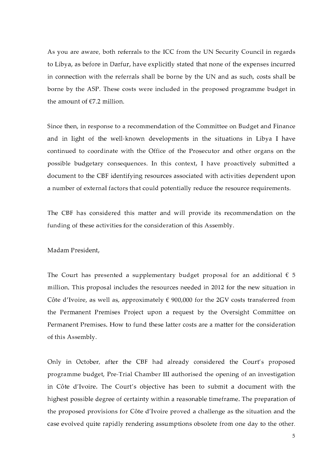As you are aware, both referrals to the ICC from the UN Security Council in regards to Libya, as before in Darfur, have explicitly stated that none of the expenses incurred in connection with the referrals shall be borne by the UN and as such, costs shall be borne by the ASP. These costs were included in the proposed programme budget in the amount of  $E$ 7.2 million.

Since then, in response to a recommendation of the Committee on Budget and Finance and in light of the well-known developments in the situations in Libya I have continued to coordinate with the Office of the Prosecutor and other organs on the possible budgetary consequences. In this context, I have proactively submitted a document to the CBF identifying resources associated with activities dependent upon a number of external factors that could potentially reduce the resource requirements.

The CBF has considered this matter and will provide its recommendation on the funding of these activities for the consideration of this Assembly.

Madam President.

The Court has presented a supplementary budget proposal for an additional  $\epsilon$  5 million. This proposal includes the resources needed in 2012 for the new situation in Côte d'Ivoire, as well as, approximately  $\epsilon$  900,000 for the 2GV costs transferred from the Permanent Premises Project upon a request by the Oversight Committee on Permanent Premises. How to fund these latter costs are a matter for the consideration of this Assembly.

Only in October, after the CBF had already considered the Court's proposed programme budget, Pre-Trial Chamber III authorised the opening of an investigation in Côte d'Ivoire. The Court's objective has been to submit a document with the highest possible degree of certainty within a reasonable timeframe. The preparation of the proposed provisions for Côte d'Ivoire proved a challenge as the situation and the case evolved quite rapidly rendering assumptions obsolete from one day to the other.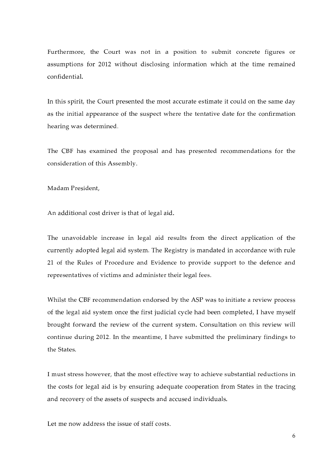Furthermore, the Court was not in a position to submit concrete figures or assumptions for 2012 without disclosing information which at the time remained confidential.

In this spirit, the Court presented the most accurate estimate it could on the same day as the initial appearance of the suspect where the tentative date for the confirmation hearing was determined.

The CBF has examined the proposal and has presented recommendations for the consideration of this Assembly.

Madam President.

An additional cost driver is that of legal aid.

The unavoidable increase in legal aid results from the direct application of the currently adopted legal aid system. The Registry is mandated in accordance with rule 21 of the Rules of Procedure and Evidence to provide support to the defence and representatives of victims and administer their legal fees.

Whilst the CBF recommendation endorsed by the ASP was to initiate a review process of the legal aid system once the first judicial cycle had been completed, I have myself brought forward the review of the current system. Consultation on this review will continue during 2012. In the meantime, I have submitted the preliminary findings to the States

I must stress however, that the most effective way to achieve substantial reductions in the costs for legal aid is by ensuring adequate cooperation from States in the tracing and recovery of the assets of suspects and accused individuals.

Let me now address the issue of staff costs.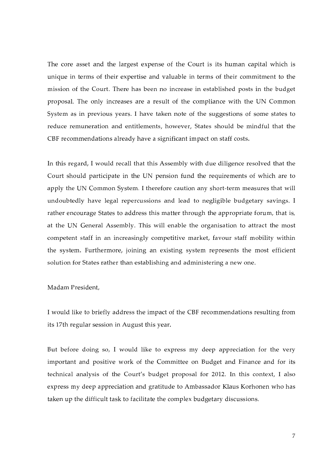The core asset and the largest expense of the Court is its human capital which is unique in terms of their expertise and valuable in terms of their commitment to the mission of the Court. There has been no increase in established posts in the budget proposal. The only increases are a result of the compliance with the UN Common System as in previous years. I have taken note of the suggestions of some states to reduce remuneration and entitlements, however, States should be mindful that the CBF recommendations already have a significant impact on staff costs.

In this regard, I would recall that this Assembly with due diligence resolved that the Court should participate in the UN pension fund the requirements of which are to apply the UN Common System. I therefore caution any short-term measures that will undoubtedly have legal repercussions and lead to negligible budgetary savings. I rather encourage States to address this matter through the appropriate forum, that is, at the UN General Assembly. This will enable the organisation to attract the most competent staff in an increasingly competitive market, favour staff mobility within the system. Furthermore, joining an existing system represents the most efficient solution for States rather than establishing and administering a new one.

#### Madam President,

I would like to briefly address the impact of the CBF recommendations resulting from its 17th regular session in August this year.

But before doing so, I would like to express my deep appreciation for the very important and positive work of the Committee on Budget and Finance and for its technical analysis of the Court's budget proposal for 2012. In this context, I also express my deep appreciation and gratitude to Ambassador Klaus Korhonen who has taken up the difficult task to facilitate the complex budgetary discussions.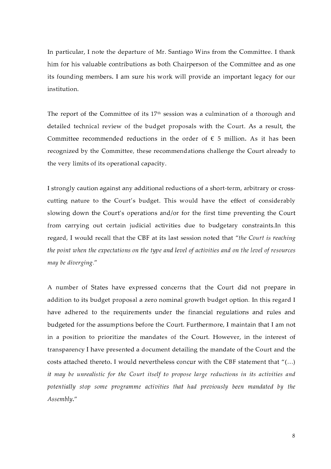In particular, I note the departure of Mr. Santiago Wins from the Committee. I thank him for his valuable contributions as both Chairperson of the Committee and as one its founding members. I am sure his work will provide an important legacy for our institution.

The report of the Committee of its  $17<sup>th</sup>$  session was a culmination of a thorough and detailed technical review of the budget proposals with the Court. As a result, the Committee recommended reductions in the order of  $\epsilon$  5 million. As it has been recognized by the Committee, these recommendations challenge the Court already to the very limits of its operational capacity.

I strongly caution against any additional reductions of a short-term, arbitrary or crosscutting nature to the Court's budget. This would have the effect of considerably slowing down the Court's operations and/or for the first time preventing the Court from carrying out certain judicial activities due to budgetary constraints. In this regard, I would recall that the CBF at its last session noted that "the Court is reaching the point when the expectations on the type and level of activities and on the level of resources may be diverging."

A number of States have expressed concerns that the Court did not prepare in addition to its budget proposal a zero nominal growth budget option. In this regard I have adhered to the requirements under the financial regulations and rules and budgeted for the assumptions before the Court. Furthermore, I maintain that I am not in a position to prioritize the mandates of the Court. However, in the interest of transparency I have presented a document detailing the mandate of the Court and the costs attached thereto. I would nevertheless concur with the CBF statement that "(...) it may be unrealistic for the Court itself to propose large reductions in its activities and potentially stop some programme activities that had previously been mandated by the Assembly."